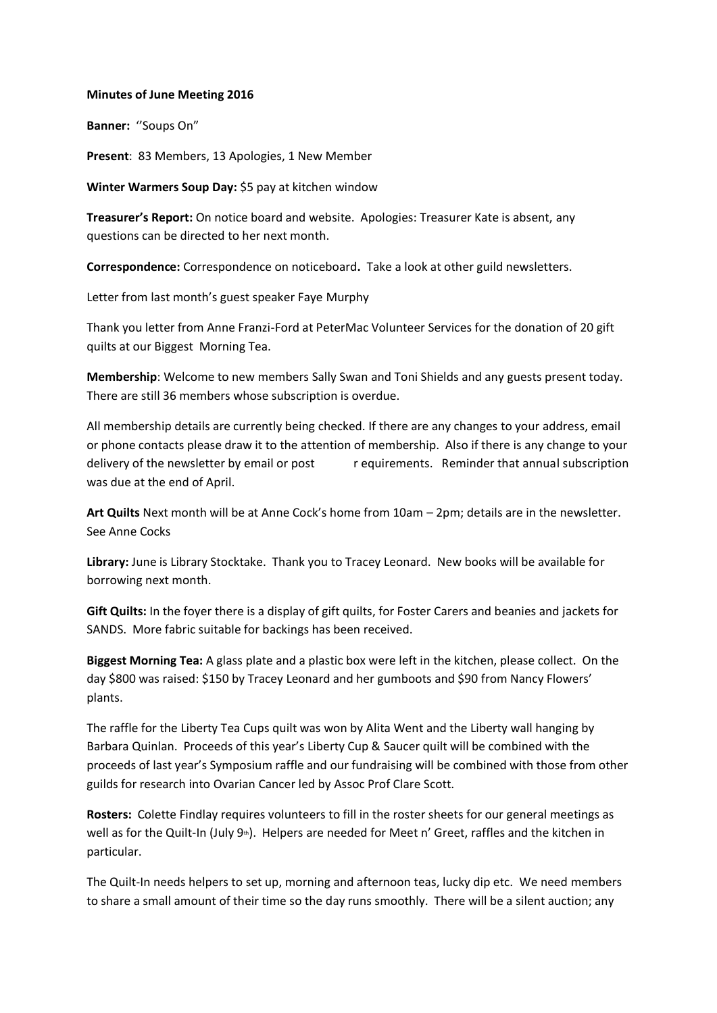## **Minutes of June Meeting 2016**

**Banner:** ''Soups On"

Present: 83 Members, 13 Apologies, 1 New Member

**Winter Warmers Soup Day:** \$5 pay at kitchen window

**Treasurer's Report:** On notice board and website. Apologies: Treasurer Kate is absent, any questions can be directed to her next month.

**Correspondence:** Correspondence on noticeboard**.** Take a look at other guild newsletters.

Letter from last month's guest speaker Faye Murphy

Thank you letter from Anne Franzi-Ford at PeterMac Volunteer Services for the donation of 20 gift quilts at our Biggest Morning Tea.

**Membership**: Welcome to new members Sally Swan and Toni Shields and any guests present today. There are still 36 members whose subscription is overdue.

All membership details are currently being checked. If there are any changes to your address, email or phone contacts please draw it to the attention of membership. Also if there is any change to your delivery of the newsletter by email or post requirements. Reminder that annual subscription was due at the end of April.

**Art Quilts** Next month will be at Anne Cock's home from 10am – 2pm; details are in the newsletter. See Anne Cocks

**Library:** June is Library Stocktake. Thank you to Tracey Leonard. New books will be available for borrowing next month.

**Gift Quilts:** In the foyer there is a display of gift quilts, for Foster Carers and beanies and jackets for SANDS. More fabric suitable for backings has been received.

**Biggest Morning Tea:** A glass plate and a plastic box were left in the kitchen, please collect. On the day \$800 was raised: \$150 by Tracey Leonard and her gumboots and \$90 from Nancy Flowers' plants.

The raffle for the Liberty Tea Cups quilt was won by Alita Went and the Liberty wall hanging by Barbara Quinlan. Proceeds of this year's Liberty Cup & Saucer quilt will be combined with the proceeds of last year's Symposium raffle and our fundraising will be combined with those from other guilds for research into Ovarian Cancer led by Assoc Prof Clare Scott.

**Rosters:** Colette Findlay requires volunteers to fill in the roster sheets for our general meetings as well as for the Quilt-In (July 9<sup>th</sup>). Helpers are needed for Meet n' Greet, raffles and the kitchen in particular.

The Quilt-In needs helpers to set up, morning and afternoon teas, lucky dip etc. We need members to share a small amount of their time so the day runs smoothly. There will be a silent auction; any